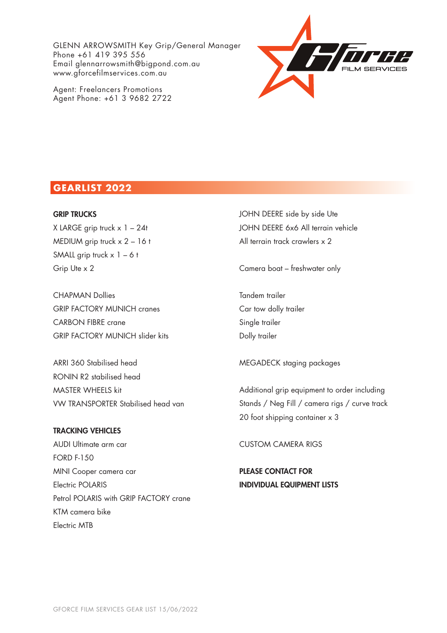GLENN ARROWSMITH Key Grip/General Manager Phone +61 419 395 556 Email glennarrowsmith@bigpond.com.au www.gforcefilmservices.com.au

Agent: Freelancers Promotions Agent Phone: +61 3 9682 2722



## **GEARLIST 2022**

#### GRIP TRUCKS

X LARGE grip truck  $x$  1 – 24t MEDIUM grip truck x 2 – 16 t SMALL grip truck  $x$  1 – 6 t Grip Ute x 2

CHAPMAN Dollies GRIP FACTORY MUNICH cranes CARBON FIBRE crane GRIP FACTORY MUNICH slider kits

ARRI 360 Stabilised head RONIN R2 stabilised head MASTER WHEELS kit VW TRANSPORTER Stabilised head van

### TRACKING VEHICLES

AUDI Ultimate arm car FORD F-150 MINI Cooper camera car Electric POLARIS Petrol POLARIS with GRIP FACTORY crane KTM camera bike Electric MTB

JOHN DEERE side by side Ute JOHN DEERE 6x6 All terrain vehicle All terrain track crawlers x 2

Camera boat – freshwater only

Tandem trailer Car tow dolly trailer Single trailer Dolly trailer

MEGADECK staging packages

Additional grip equipment to order including Stands / Neg Fill / camera rigs / curve track 20 foot shipping container x 3

CUSTOM CAMERA RIGS

PLEASE CONTACT FOR INDIVIDUAL EQUIPMENT LISTS